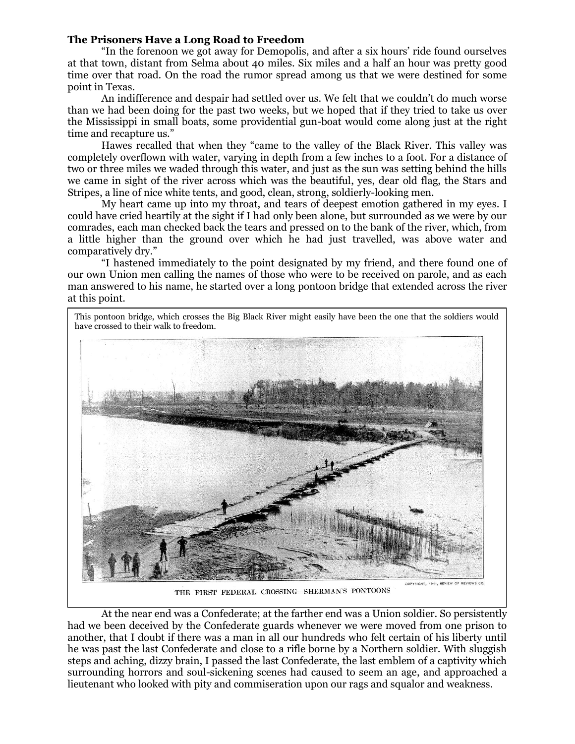## **The Prisoners Have a Long Road to Freedom**

"In the forenoon we got away for Demopolis, and after a six hours' ride found ourselves at that town, distant from Selma about 40 miles. Six miles and a half an hour was pretty good time over that road. On the road the rumor spread among us that we were destined for some point in Texas.

An indifference and despair had settled over us. We felt that we couldn't do much worse than we had been doing for the past two weeks, but we hoped that if they tried to take us over the Mississippi in small boats, some providential gun-boat would come along just at the right time and recapture us."

Hawes recalled that when they "came to the valley of the Black River. This valley was completely overflown with water, varying in depth from a few inches to a foot. For a distance of two or three miles we waded through this water, and just as the sun was setting behind the hills we came in sight of the river across which was the beautiful, yes, dear old flag, the Stars and Stripes, a line of nice white tents, and good, clean, strong, soldierly-looking men.

My heart came up into my throat, and tears of deepest emotion gathered in my eyes. I could have cried heartily at the sight if I had only been alone, but surrounded as we were by our comrades, each man checked back the tears and pressed on to the bank of the river, which, from a little higher than the ground over which he had just travelled, was above water and comparatively dry."

"I hastened immediately to the point designated by my friend, and there found one of our own Union men calling the names of those who were to be received on parole, and as each man answered to his name, he started over a long pontoon bridge that extended across the river at this point.



THE FIRST FEDERAL CROSSING-SHERMAN'S PONTOONS

At the near end was a Confederate; at the farther end was a Union soldier. So persistently had we been deceived by the Confederate guards whenever we were moved from one prison to another, that I doubt if there was a man in all our hundreds who felt certain of his liberty until he was past the last Confederate and close to a rifle borne by a Northern soldier. With sluggish steps and aching, dizzy brain, I passed the last Confederate, the last emblem of a captivity which surrounding horrors and soul-sickening scenes had caused to seem an age, and approached a lieutenant who looked with pity and commiseration upon our rags and squalor and weakness.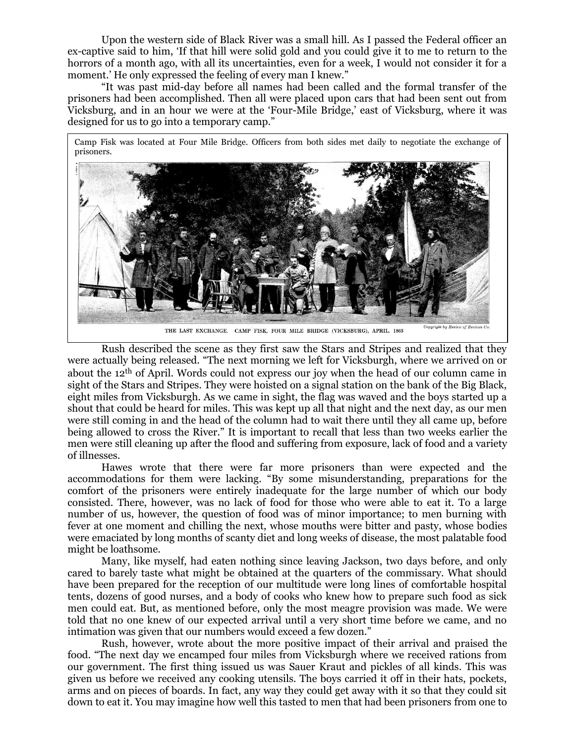Upon the western side of Black River was a small hill. As I passed the Federal officer an ex-captive said to him, 'If that hill were solid gold and you could give it to me to return to the horrors of a month ago, with all its uncertainties, even for a week, I would not consider it for a moment.' He only expressed the feeling of every man I knew."

"It was past mid-day before all names had been called and the formal transfer of the prisoners had been accomplished. Then all were placed upon cars that had been sent out from Vicksburg, and in an hour we were at the 'Four-Mile Bridge,' east of Vicksburg, where it was designed for us to go into a temporary camp."

Camp Fisk was located at Four Mile Bridge. Officers from both sides met daily to negotiate the exchange of prisoners.



Rush described the scene as they first saw the Stars and Stripes and realized that they were actually being released. "The next morning we left for Vicksburgh, where we arrived on or about the 12th of April. Words could not express our joy when the head of our column came in sight of the Stars and Stripes. They were hoisted on a signal station on the bank of the Big Black, eight miles from Vicksburgh. As we came in sight, the flag was waved and the boys started up a shout that could be heard for miles. This was kept up all that night and the next day, as our men were still coming in and the head of the column had to wait there until they all came up, before being allowed to cross the River." It is important to recall that less than two weeks earlier the men were still cleaning up after the flood and suffering from exposure, lack of food and a variety of illnesses.

Hawes wrote that there were far more prisoners than were expected and the accommodations for them were lacking. "By some misunderstanding, preparations for the comfort of the prisoners were entirely inadequate for the large number of which our body consisted. There, however, was no lack of food for those who were able to eat it. To a large number of us, however, the question of food was of minor importance; to men burning with fever at one moment and chilling the next, whose mouths were bitter and pasty, whose bodies were emaciated by long months of scanty diet and long weeks of disease, the most palatable food might be loathsome.

Many, like myself, had eaten nothing since leaving Jackson, two days before, and only cared to barely taste what might be obtained at the quarters of the commissary. What should have been prepared for the reception of our multitude were long lines of comfortable hospital tents, dozens of good nurses, and a body of cooks who knew how to prepare such food as sick men could eat. But, as mentioned before, only the most meagre provision was made. We were told that no one knew of our expected arrival until a very short time before we came, and no intimation was given that our numbers would exceed a few dozen."

Rush, however, wrote about the more positive impact of their arrival and praised the food. "The next day we encamped four miles from Vicksburgh where we received rations from our government. The first thing issued us was Sauer Kraut and pickles of all kinds. This was given us before we received any cooking utensils. The boys carried it off in their hats, pockets, arms and on pieces of boards. In fact, any way they could get away with it so that they could sit down to eat it. You may imagine how well this tasted to men that had been prisoners from one to